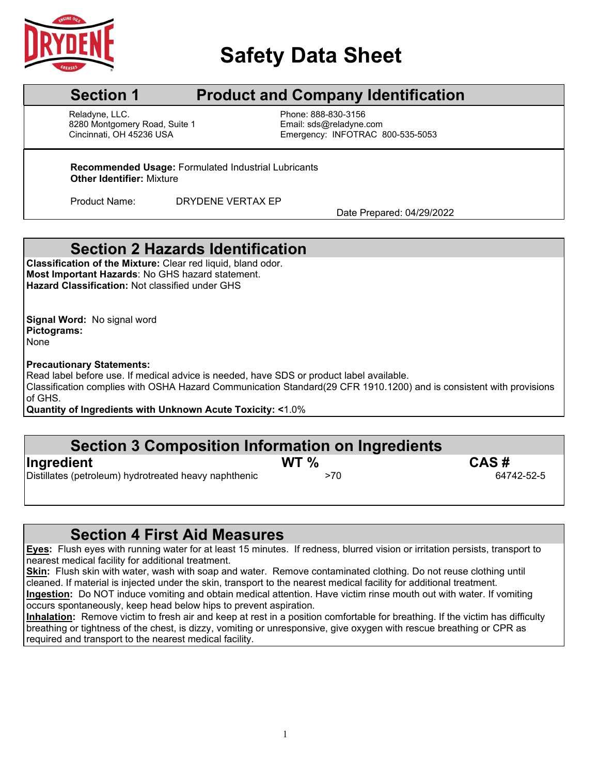

# **Safety Data Sheet**

## **Section 1** Product and Company Identification

Reladyne, LLC.<br>8280 Montgomery Road, Suite 1 Fissue Email: strail: strail: strail: strail: strail: strail: strail: strail: s 8280 Montgomery Road, Suite 1<br>Cincinnati, OH 45236 USA l

Emergency: INFOTRAC 800-535-5053

**Recommended Usage:** Formulated Industrial Lubricants **Other Identifier:** Mixture

Product Name: DRYDENE VERTAX EP

Date Prepared: 04/29/2022

### **Section 2 Hazards Identification**

**Classification of the Mixture:** Clear red liquid, bland odor. **Most Important Hazards**: No GHS hazard statement. **Hazard Classification:** Not classified under GHS

**Signal Word:** No signal word **Pictograms:** None

### **Precautionary Statements:**

Read label before use. If medical advice is needed, have SDS or product label available.

Classification complies with OSHA Hazard Communication Standard(29 CFR 1910.1200) and is consistent with provisions of GHS.

**Quantity of Ingredients with Unknown Acute Toxicity: <**1.0%

### **Section 3 Composition Information on Ingredients**

| Ingredient                                            | WT <sub>%</sub> | CAS#       |
|-------------------------------------------------------|-----------------|------------|
| Distillates (petroleum) hydrotreated heavy naphthenic | >70             | 64742-52-5 |

### **Section 4 First Aid Measures**

**Eyes:** Flush eyes with running water for at least 15 minutes. If redness, blurred vision or irritation persists, transport to  $\overline{\phantom{a}}$  nearest medical facility for additional treatment.

**Skin:** Flush skin with water, wash with soap and water. Remove contaminated clothing. Do not reuse clothing until cleaned. If material is injected under the skin, transport to the nearest medical facility for additional treatment. **Ingestion:** Do NOT induce vomiting and obtain medical attention. Have victim rinse mouth out with water. If vomiting occurs spontaneously, keep head below hips to prevent aspiration.

**Inhalation:** Remove victim to fresh air and keep at rest in a position comfortable for breathing. If the victim has difficulty breathing or tightness of the chest, is dizzy, vomiting or unresponsive, give oxygen with rescue breathing or CPR as required and transport to the nearest medical facility.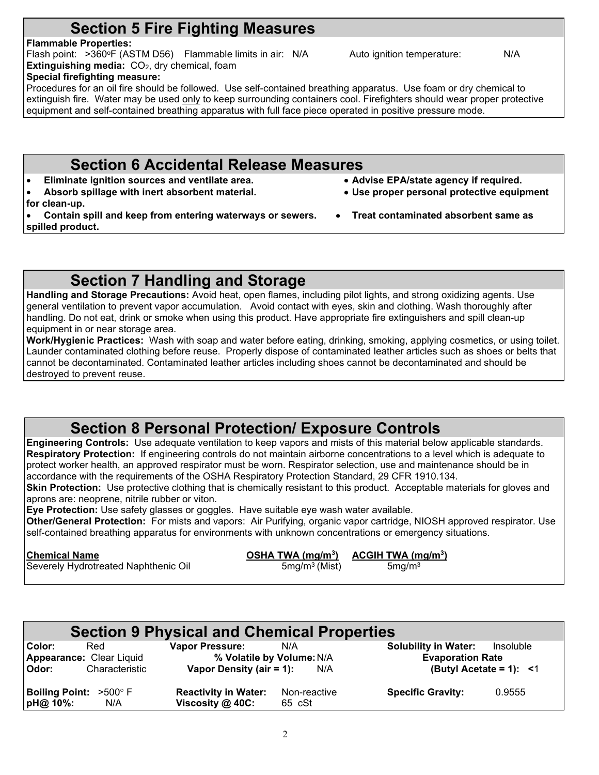## **Section 5 Fire Fighting Measures**

### **Flammable Properties:**

Flash point: >360°F (ASTM D56) Flammable limits in air: N/A Auto ignition temperature: N/A **Extinguishing media:** CO<sub>2</sub>, dry chemical, foam **Special firefighting measure:**

Procedures for an oil fire should be followed. Use self-contained breathing apparatus. Use foam or dry chemical to extinguish fire. Water may be used only to keep surrounding containers cool. Firefighters should wear proper protective equipment and self-contained breathing apparatus with full face piece operated in positive pressure mode.

## **Section 6 Accidental Release Measures**

- **Eliminate ignition sources and ventilate area. Advise EPA/state agency if required.**
- **Absorb spillage with inert absorbent material. Use proper personal protective equipment**
- **for clean-up.**

• **Contain spill and keep from entering waterways or sewers.** • **Treat contaminated absorbent same as spilled product.**

**Section 7 Handling and Storage**

**Handling and Storage Precautions:** Avoid heat, open flames, including pilot lights, and strong oxidizing agents. Use general ventilation to prevent vapor accumulation. Avoid contact with eyes, skin and clothing. Wash thoroughly after handling. Do not eat, drink or smoke when using this product. Have appropriate fire extinguishers and spill clean-up equipment in or near storage area.

**Work/Hygienic Practices:** Wash with soap and water before eating, drinking, smoking, applying cosmetics, or using toilet. Launder contaminated clothing before reuse. Properly dispose of contaminated leather articles such as shoes or belts that cannot be decontaminated. Contaminated leather articles including shoes cannot be decontaminated and should be destroyed to prevent reuse.

## **Section 8 Personal Protection/ Exposure Controls**

**Engineering Controls:** Use adequate ventilation to keep vapors and mists of this material below applicable standards. **Respiratory Protection:** If engineering controls do not maintain airborne concentrations to a level which is adequate to protect worker health, an approved respirator must be worn. Respirator selection, use and maintenance should be in accordance with the requirements of the OSHA Respiratory Protection Standard, 29 CFR 1910.134.

**Skin Protection:** Use protective clothing that is chemically resistant to this product. Acceptable materials for gloves and aprons are: neoprene, nitrile rubber or viton.

**Eye Protection:** Use safety glasses or goggles. Have suitable eye wash water available.

**Other/General Protection:** For mists and vapors: Air Purifying, organic vapor cartridge, NIOSH approved respirator. Use self-contained breathing apparatus for environments with unknown concentrations or emergency situations.

| <b>Chemical Name</b>                 | OSHA TWA $(mq/m3)$ | ACGIH TWA $(mg/m3)$ |
|--------------------------------------|--------------------|---------------------|
| Severely Hydrotreated Naphthenic Oil | $5mg/m3$ (Mist)    | 5mg/m <sup>3</sup>  |
|                                      |                    |                     |

| <b>Section 9 Physical and Chemical Properties</b>                    |                                                                                        |                                                                                                             |  |  |  |
|----------------------------------------------------------------------|----------------------------------------------------------------------------------------|-------------------------------------------------------------------------------------------------------------|--|--|--|
| Color:<br>Red<br>Appearance: Clear Liquid<br>Characteristic<br>Odor: | <b>Vapor Pressure:</b><br>N/A<br>% Volatile by Volume: N/A<br>Vapor Density (air = 1): | <b>Solubility in Water:</b><br>Insoluble<br><b>Evaporation Rate</b><br>(Butyl Acetate = 1): $\leq 1$<br>N/A |  |  |  |
| <b>Boiling Point: &gt;500° F</b><br>pH@ 10%:<br>N/A                  | <b>Reactivity in Water:</b><br>Non-reactive<br>Viscosity $@$ 40C:<br>65 cSt            | <b>Specific Gravity:</b><br>0.9555                                                                          |  |  |  |

 $\mathfrak{D}$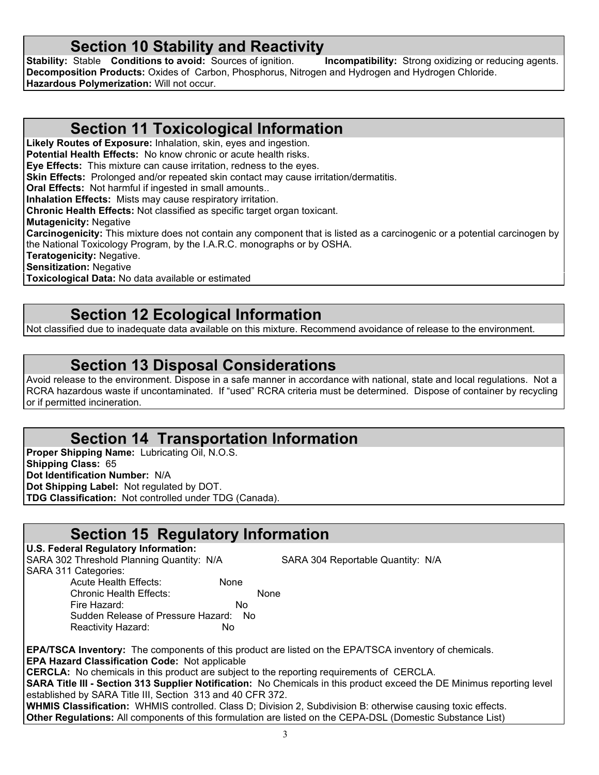**Section 10 Stability and Reactivity**<br>
Stable Conditions to avoid: Sources of ignition. Incompatibility: Strong oxidizing or reducing agents. **Stability: Stable <b>Conditions to avoid:** Sources of ignition. **Decomposition Products:** Oxides of Carbon, Phosphorus, Nitrogen and Hydrogen and Hydrogen Chloride. **Hazardous Polymerization:** Will not occur.

### **Section 11 Toxicological Information**

**Likely Routes of Exposure:** Inhalation, skin, eyes and ingestion.

**Potential Health Effects:** No know chronic or acute health risks.

**Eye Effects:** This mixture can cause irritation, redness to the eyes.

**Skin Effects:** Prolonged and/or repeated skin contact may cause irritation/dermatitis.

**Oral Effects:** Not harmful if ingested in small amounts..

**Inhalation Effects:** Mists may cause respiratory irritation.

**Chronic Health Effects:** Not classified as specific target organ toxicant.

**Mutagenicity:** Negative

**Carcinogenicity:** This mixture does not contain any component that is listed as a carcinogenic or a potential carcinogen by the National Toxicology Program, by the I.A.R.C. monographs or by OSHA.

**Teratogenicity:** Negative.

**Sensitization:** Negative

**Toxicological Data:** No data available or estimated

## **Section 12 Ecological Information**

Not classified due to inadequate data available on this mixture. Recommend avoidance of release to the environment.

### **Section 13 Disposal Considerations**

Avoid release to the environment. Dispose in a safe manner in accordance with national, state and local regulations. Not a RCRA hazardous waste if uncontaminated. If "used" RCRA criteria must be determined. Dispose of container by recycling or if permitted incineration.

### **Section 14 Transportation Information**

**Proper Shipping Name:** Lubricating Oil, N.O.S. **Shipping Class:** 65 **Dot Identification Number:** N/A **Dot Shipping Label:** Not regulated by DOT. **TDG Classification:** Not controlled under TDG (Canada).

### **Section 15 Regulatory Information**

### **U.S. Federal Regulatory Information:**

SARA 302 Threshold Planning Quantity: N/A SARA 304 Reportable Quantity: N/A

SARA 311 Categories:

Chronic Health Effects: None Fire Hazard: No Sudden Release of Pressure Hazard: No Reactivity Hazard: No

Acute Health Effects: None

**EPA/TSCA Inventory:** The components of this product are listed on the EPA/TSCA inventory of chemicals. **EPA Hazard Classification Code:** Not applicable

**CERCLA:** No chemicals in this product are subject to the reporting requirements of CERCLA.

**SARA Title III - Section 313 Supplier Notification:** No Chemicals in this product exceed the DE Minimus reporting level established by SARA Title III, Section 313 and 40 CFR 372.

**WHMIS Classification:** WHMIS controlled. Class D; Division 2, Subdivision B: otherwise causing toxic effects. **Other Regulations:** All components of this formulation are listed on the CEPA-DSL (Domestic Substance List)